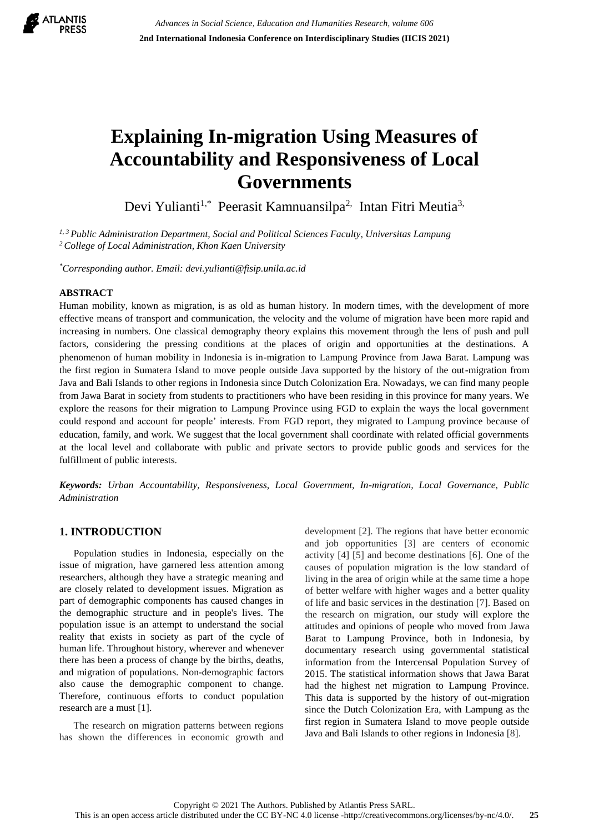

# **Explaining In-migration Using Measures of Accountability and Responsiveness of Local Governments**

Devi Yulianti<sup>1,\*</sup> Peerasit Kamnuansilpa<sup>2,</sup> Intan Fitri Meutia<sup>3,</sup>

*1, 3 Public Administration Department, Social and Political Sciences Faculty, Universitas Lampung <sup>2</sup> College of Local Administration, Khon Kaen University*

*\*Corresponding author. Email: devi.yulianti@fisip.unila.ac.id*

#### **ABSTRACT**

Human mobility, known as migration, is as old as human history. In modern times, with the development of more effective means of transport and communication, the velocity and the volume of migration have been more rapid and increasing in numbers. One classical demography theory explains this movement through the lens of push and pull factors, considering the pressing conditions at the places of origin and opportunities at the destinations. A phenomenon of human mobility in Indonesia is in-migration to Lampung Province from Jawa Barat. Lampung was the first region in Sumatera Island to move people outside Java supported by the history of the out-migration from Java and Bali Islands to other regions in Indonesia since Dutch Colonization Era. Nowadays, we can find many people from Jawa Barat in society from students to practitioners who have been residing in this province for many years. We explore the reasons for their migration to Lampung Province using FGD to explain the ways the local government could respond and account for people' interests. From FGD report, they migrated to Lampung province because of education, family, and work. We suggest that the local government shall coordinate with related official governments at the local level and collaborate with public and private sectors to provide public goods and services for the fulfillment of public interests.

*Keywords: Urban Accountability, Responsiveness, Local Government, In-migration, Local Governance, Public Administration*

## **1. INTRODUCTION**

Population studies in Indonesia, especially on the issue of migration, have garnered less attention among researchers, although they have a strategic meaning and are closely related to development issues. Migration as part of demographic components has caused changes in the demographic structure and in people's lives. The population issue is an attempt to understand the social reality that exists in society as part of the cycle of human life. Throughout history, wherever and whenever there has been a process of change by the births, deaths, and migration of populations. Non-demographic factors also cause the demographic component to change. Therefore, continuous efforts to conduct population research are a must [1].

The research on migration patterns between regions has shown the differences in economic growth and development [2]. The regions that have better economic and job opportunities [3] are centers of economic activity [4] [5] and become destinations [6]. One of the causes of population migration is the low standard of living in the area of origin while at the same time a hope of better welfare with higher wages and a better quality of life and basic services in the destination [7]. Based on the research on migration, our study will explore the attitudes and opinions of people who moved from Jawa Barat to Lampung Province, both in Indonesia, by documentary research using governmental statistical information from the Intercensal Population Survey of 2015. The statistical information shows that Jawa Barat had the highest net migration to Lampung Province. This data is supported by the history of out-migration since the Dutch Colonization Era, with Lampung as the first region in Sumatera Island to move people outside Java and Bali Islands to other regions in Indonesia [8].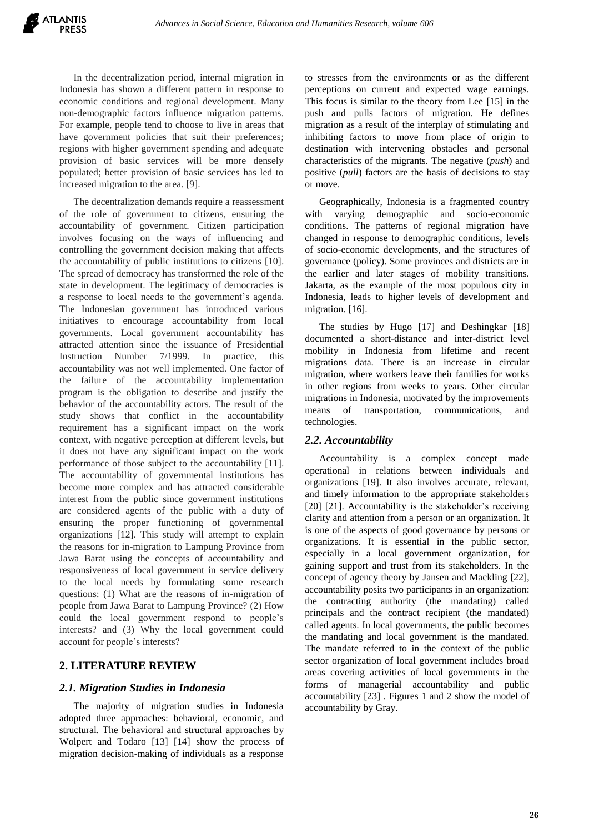In the decentralization period, internal migration in Indonesia has shown a different pattern in response to economic conditions and regional development. Many non-demographic factors influence migration patterns. For example, people tend to choose to live in areas that have government policies that suit their preferences; regions with higher government spending and adequate provision of basic services will be more densely populated; better provision of basic services has led to increased migration to the area. [9].

The decentralization demands require a reassessment of the role of government to citizens, ensuring the accountability of government. Citizen participation involves focusing on the ways of influencing and controlling the government decision making that affects the accountability of public institutions to citizens [10]. The spread of democracy has transformed the role of the state in development. The legitimacy of democracies is a response to local needs to the government's agenda. The Indonesian government has introduced various initiatives to encourage accountability from local governments. Local government accountability has attracted attention since the issuance of Presidential Instruction Number 7/1999. In practice, this accountability was not well implemented. One factor of the failure of the accountability implementation program is the obligation to describe and justify the behavior of the accountability actors. The result of the study shows that conflict in the accountability requirement has a significant impact on the work context, with negative perception at different levels, but it does not have any significant impact on the work performance of those subject to the accountability [11]. The accountability of governmental institutions has become more complex and has attracted considerable interest from the public since government institutions are considered agents of the public with a duty of ensuring the proper functioning of governmental organizations [12]. This study will attempt to explain the reasons for in-migration to Lampung Province from Jawa Barat using the concepts of accountability and responsiveness of local government in service delivery to the local needs by formulating some research questions: (1) What are the reasons of in-migration of people from Jawa Barat to Lampung Province? (2) How could the local government respond to people's interests? and (3) Why the local government could account for people's interests?

## **2. LITERATURE REVIEW**

## *2.1. Migration Studies in Indonesia*

The majority of migration studies in Indonesia adopted three approaches: behavioral, economic, and structural. The behavioral and structural approaches by Wolpert and Todaro [13] [14] show the process of migration decision-making of individuals as a response to stresses from the environments or as the different perceptions on current and expected wage earnings. This focus is similar to the theory from Lee [15] in the push and pulls factors of migration. He defines migration as a result of the interplay of stimulating and inhibiting factors to move from place of origin to destination with intervening obstacles and personal characteristics of the migrants. The negative (*push*) and positive (*pull*) factors are the basis of decisions to stay or move.

Geographically, Indonesia is a fragmented country with varying demographic and socio-economic conditions. The patterns of regional migration have changed in response to demographic conditions, levels of socio-economic developments, and the structures of governance (policy). Some provinces and districts are in the earlier and later stages of mobility transitions. Jakarta, as the example of the most populous city in Indonesia, leads to higher levels of development and migration. [16].

The studies by Hugo [17] and Deshingkar [18] documented a short-distance and inter-district level mobility in Indonesia from lifetime and recent migrations data. There is an increase in circular migration, where workers leave their families for works in other regions from weeks to years. Other circular migrations in Indonesia, motivated by the improvements means of transportation, communications, and technologies.

## *2.2. Accountability*

Accountability is a complex concept made operational in relations between individuals and organizations [19]. It also involves accurate, relevant, and timely information to the appropriate stakeholders [20] [21]. Accountability is the stakeholder's receiving clarity and attention from a person or an organization. It is one of the aspects of good governance by persons or organizations. It is essential in the public sector, especially in a local government organization, for gaining support and trust from its stakeholders. In the concept of agency theory by Jansen and Mackling [22], accountability posits two participants in an organization: the contracting authority (the mandating) called principals and the contract recipient (the mandated) called agents. In local governments, the public becomes the mandating and local government is the mandated. The mandate referred to in the context of the public sector organization of local government includes broad areas covering activities of local governments in the forms of managerial accountability and public accountability [23] . Figures 1 and 2 show the model of accountability by Gray.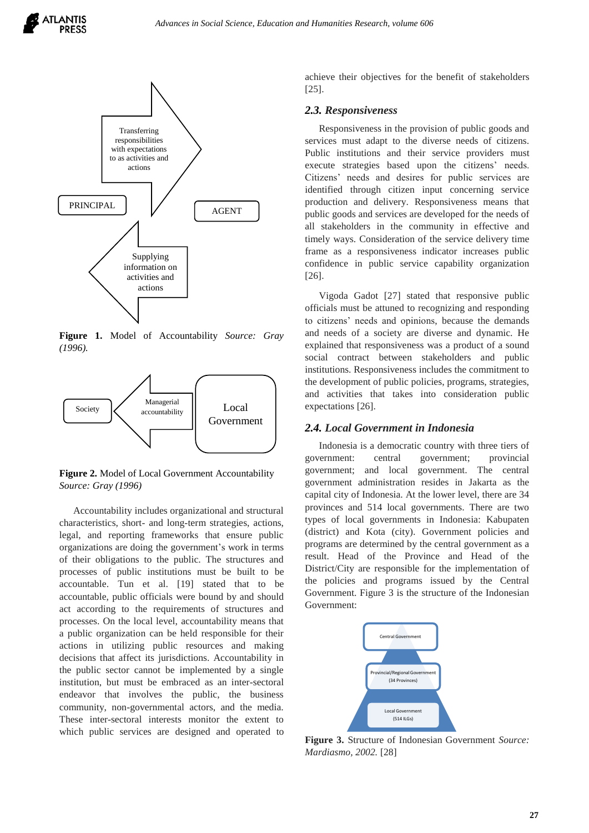



**Figure 1.** Model of Accountability *Source: Gray (1996).*



**Figure 2.** Model of Local Government Accountability *Source: Gray (1996)*

Accountability includes organizational and structural characteristics, short- and long-term strategies, actions, legal, and reporting frameworks that ensure public organizations are doing the government's work in terms of their obligations to the public. The structures and processes of public institutions must be built to be accountable. Tun et al. [19] stated that to be accountable, public officials were bound by and should act according to the requirements of structures and processes. On the local level, accountability means that a public organization can be held responsible for their actions in utilizing public resources and making decisions that affect its jurisdictions. Accountability in the public sector cannot be implemented by a single institution, but must be embraced as an inter-sectoral endeavor that involves the public, the business community, non-governmental actors, and the media. These inter-sectoral interests monitor the extent to which public services are designed and operated to achieve their objectives for the benefit of stakeholders [25].

#### *2.3. Responsiveness*

Responsiveness in the provision of public goods and services must adapt to the diverse needs of citizens. Public institutions and their service providers must execute strategies based upon the citizens' needs. Citizens' needs and desires for public services are identified through citizen input concerning service production and delivery. Responsiveness means that public goods and services are developed for the needs of all stakeholders in the community in effective and timely ways. Consideration of the service delivery time frame as a responsiveness indicator increases public confidence in public service capability organization [26].

Vigoda Gadot [27] stated that responsive public officials must be attuned to recognizing and responding to citizens' needs and opinions, because the demands and needs of a society are diverse and dynamic. He explained that responsiveness was a product of a sound social contract between stakeholders and public institutions. Responsiveness includes the commitment to the development of public policies, programs, strategies, and activities that takes into consideration public expectations [26].

#### *2.4. Local Government in Indonesia*

Indonesia is a democratic country with three tiers of government: central government; provincial government; and local government. The central government administration resides in Jakarta as the capital city of Indonesia. At the lower level, there are 34 provinces and 514 local governments. There are two types of local governments in Indonesia: Kabupaten (district) and Kota (city). Government policies and programs are determined by the central government as a result. Head of the Province and Head of the District/City are responsible for the implementation of the policies and programs issued by the Central Government. Figure 3 is the structure of the Indonesian Government:



**Figure 3.** Structure of Indonesian Government *Source: Mardiasmo, 2002.* [28]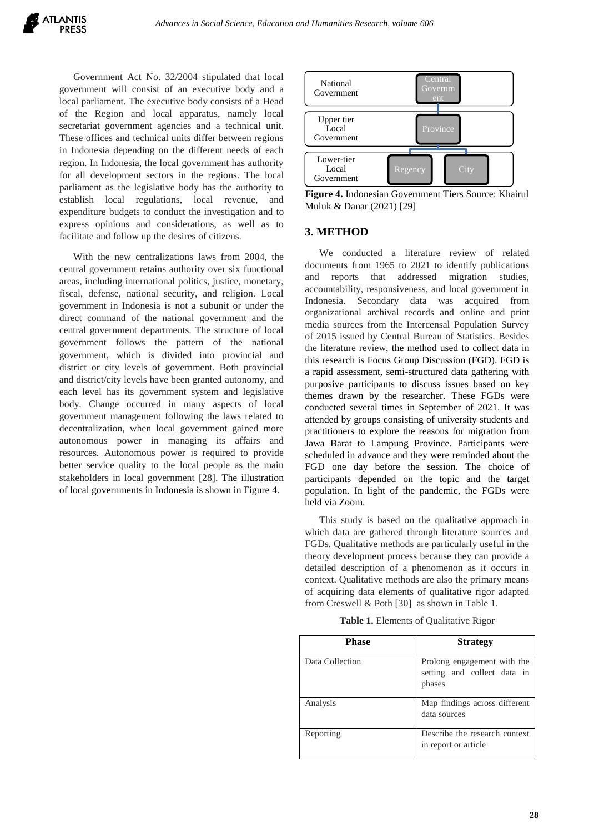Government Act No. 32/2004 stipulated that local government will consist of an executive body and a local parliament. The executive body consists of a Head of the Region and local apparatus, namely local secretariat government agencies and a technical unit. These offices and technical units differ between regions in Indonesia depending on the different needs of each region. In Indonesia, the local government has authority for all development sectors in the regions. The local parliament as the legislative body has the authority to establish local regulations, local revenue, and expenditure budgets to conduct the investigation and to express opinions and considerations, as well as to facilitate and follow up the desires of citizens.

With the new centralizations laws from 2004, the central government retains authority over six functional areas, including international politics, justice, monetary, fiscal, defense, national security, and religion. Local government in Indonesia is not a subunit or under the direct command of the national government and the central government departments. The structure of local government follows the pattern of the national government, which is divided into provincial and district or city levels of government. Both provincial and district/city levels have been granted autonomy, and each level has its government system and legislative body. Change occurred in many aspects of local government management following the laws related to decentralization, when local government gained more autonomous power in managing its affairs and resources. Autonomous power is required to provide better service quality to the local people as the main stakeholders in local government [28]. The illustration of local governments in Indonesia is shown in Figure 4.



**Figure 4.** Indonesian Government Tiers Source: Khairul Muluk & Danar (2021) [29]

#### **3. METHOD**

We conducted a literature review of related documents from 1965 to 2021 to identify publications and reports that addressed migration studies, accountability, responsiveness, and local government in Indonesia. Secondary data was acquired from organizational archival records and online and print media sources from the Intercensal Population Survey of 2015 issued by Central Bureau of Statistics. Besides the literature review, the method used to collect data in this research is Focus Group Discussion (FGD). FGD is a rapid assessment, semi-structured data gathering with purposive participants to discuss issues based on key themes drawn by the researcher. These FGDs were conducted several times in September of 2021. It was attended by groups consisting of university students and practitioners to explore the reasons for migration from Jawa Barat to Lampung Province. Participants were scheduled in advance and they were reminded about the FGD one day before the session. The choice of participants depended on the topic and the target population. In light of the pandemic, the FGDs were held via Zoom.

This study is based on the qualitative approach in which data are gathered through literature sources and FGDs. Qualitative methods are particularly useful in the theory development process because they can provide a detailed description of a phenomenon as it occurs in context. Qualitative methods are also the primary means of acquiring data elements of qualitative rigor adapted from Creswell & Poth [30] as shown in Table 1.

| <b>Phase</b>    | <b>Strategy</b>                                                      |
|-----------------|----------------------------------------------------------------------|
| Data Collection | Prolong engagement with the<br>setting and collect data in<br>phases |
| Analysis        | Map findings across different<br>data sources                        |
| Reporting       | Describe the research context<br>in report or article                |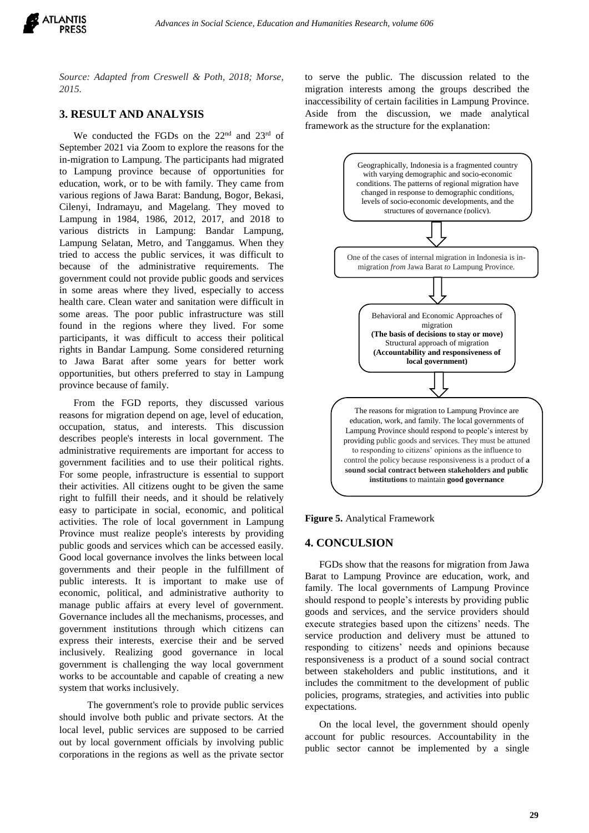

*Source: Adapted from Creswell & Poth, 2018; Morse, 2015.*

## **3. RESULT AND ANALYSIS**

We conducted the FGDs on the 22<sup>nd</sup> and 23<sup>rd</sup> of September 2021 via Zoom to explore the reasons for the in-migration to Lampung. The participants had migrated to Lampung province because of opportunities for education, work, or to be with family. They came from various regions of Jawa Barat: Bandung, Bogor, Bekasi, Cilenyi, Indramayu, and Magelang. They moved to Lampung in 1984, 1986, 2012, 2017, and 2018 to various districts in Lampung: Bandar Lampung, Lampung Selatan, Metro, and Tanggamus. When they tried to access the public services, it was difficult to because of the administrative requirements. The government could not provide public goods and services in some areas where they lived, especially to access health care. Clean water and sanitation were difficult in some areas. The poor public infrastructure was still found in the regions where they lived. For some participants, it was difficult to access their political rights in Bandar Lampung. Some considered returning to Jawa Barat after some years for better work opportunities, but others preferred to stay in Lampung province because of family.

From the FGD reports, they discussed various reasons for migration depend on age, level of education, occupation, status, and interests. This discussion describes people's interests in local government. The administrative requirements are important for access to government facilities and to use their political rights. For some people, infrastructure is essential to support their activities. All citizens ought to be given the same right to fulfill their needs, and it should be relatively easy to participate in social, economic, and political activities. The role of local government in Lampung Province must realize people's interests by providing public goods and services which can be accessed easily. Good local governance involves the links between local governments and their people in the fulfillment of public interests. It is important to make use of economic, political, and administrative authority to manage public affairs at every level of government. Governance includes all the mechanisms, processes, and government institutions through which citizens can express their interests, exercise their and be served inclusively. Realizing good governance in local government is challenging the way local government works to be accountable and capable of creating a new system that works inclusively.

The government's role to provide public services should involve both public and private sectors. At the local level, public services are supposed to be carried out by local government officials by involving public corporations in the regions as well as the private sector to serve the public. The discussion related to the migration interests among the groups described the inaccessibility of certain facilities in Lampung Province. Aside from the discussion, we made analytical framework as the structure for the explanation:



**Figure 5.** Analytical Framework

#### **4. CONCULSION**

FGDs show that the reasons for migration from Jawa Barat to Lampung Province are education, work, and family. The local governments of Lampung Province should respond to people's interests by providing public goods and services, and the service providers should execute strategies based upon the citizens' needs. The service production and delivery must be attuned to responding to citizens' needs and opinions because responsiveness is a product of a sound social contract between stakeholders and public institutions, and it includes the commitment to the development of public policies, programs, strategies, and activities into public expectations.

On the local level, the government should openly account for public resources. Accountability in the public sector cannot be implemented by a single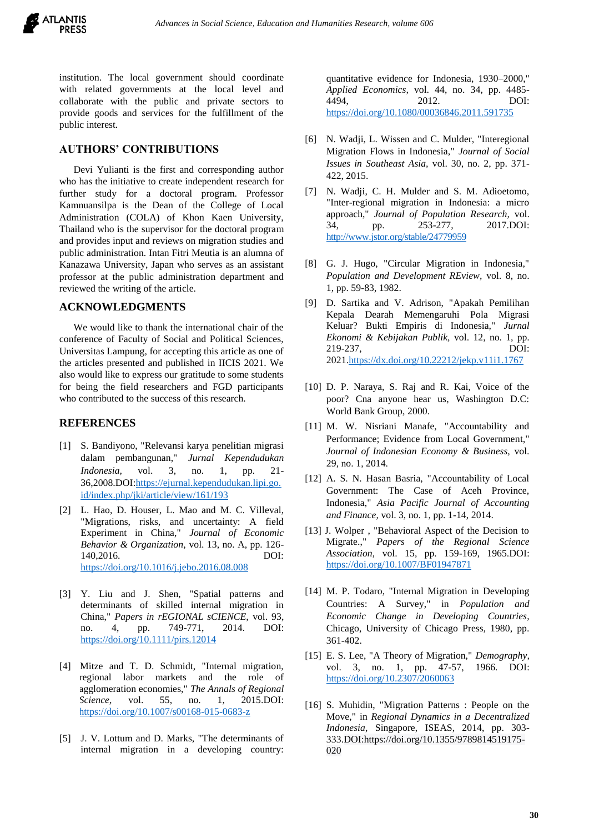

institution. The local government should coordinate with related governments at the local level and collaborate with the public and private sectors to provide goods and services for the fulfillment of the public interest.

#### **AUTHORS' CONTRIBUTIONS**

Devi Yulianti is the first and corresponding author who has the initiative to create independent research for further study for a doctoral program. Professor Kamnuansilpa is the Dean of the College of Local Administration (COLA) of Khon Kaen University, Thailand who is the supervisor for the doctoral program and provides input and reviews on migration studies and public administration. Intan Fitri Meutia is an alumna of Kanazawa University, Japan who serves as an assistant professor at the public administration department and reviewed the writing of the article.

#### **ACKNOWLEDGMENTS**

We would like to thank the international chair of the conference of Faculty of Social and Political Sciences, Universitas Lampung, for accepting this article as one of the articles presented and published in IICIS 2021. We also would like to express our gratitude to some students for being the field researchers and FGD participants who contributed to the success of this research.

#### **REFERENCES**

- [1] S. Bandiyono, "Relevansi karya penelitian migrasi dalam pembangunan," *Jurnal Kependudukan Indonesia,* vol. 3, no. 1, pp. 21- 36,2008.DOI[:https://ejurnal.kependudukan.lipi.go.](https://ejurnal.kependudukan.lipi.go.id/index.php/jki/article/view/161/193) [id/index.php/jki/article/view/161/193](https://ejurnal.kependudukan.lipi.go.id/index.php/jki/article/view/161/193)
- [2] L. Hao, D. Houser, L. Mao and M. C. Villeval, "Migrations, risks, and uncertainty: A field Experiment in China," *Journal of Economic Behavior & Organization,* vol. 13, no. A, pp. 126- 140,2016. DOI: <https://doi.org/10.1016/j.jebo.2016.08.008>
- [3] Y. Liu and J. Shen, "Spatial patterns and determinants of skilled internal migration in China," *Papers in rEGIONAL sCIENCE,* vol. 93, no. 4, pp. 749-771, 2014. DOI: <https://doi.org/10.1111/pirs.12014>
- [4] Mitze and T. D. Schmidt, "Internal migration, regional labor markets and the role of agglomeration economies," *The Annals of Regional Science*, vol. 55, no. 1, 2015.DOI: <https://doi.org/10.1007/s00168-015-0683-z>
- [5] J. V. Lottum and D. Marks, "The determinants of internal migration in a developing country:

quantitative evidence for Indonesia, 1930–2000," *Applied Economics,* vol. 44, no. 34, pp. 4485- 4494, 2012. DOI: <https://doi.org/10.1080/00036846.2011.591735>

- [6] N. Wadji, L. Wissen and C. Mulder, "Interegional Migration Flows in Indonesia," *Journal of Social Issues in Southeast Asia,* vol. 30, no. 2, pp. 371- 422, 2015.
- [7] N. Wadji, C. H. Mulder and S. M. Adioetomo, "Inter-regional migration in Indonesia: a micro approach," *Journal of Population Research,* vol. 34, pp. 253-277, 2017.DOI: <http://www.jstor.org/stable/24779959>
- [8] G. J. Hugo, "Circular Migration in Indonesia," *Population and Development REview,* vol. 8, no. 1, pp. 59-83, 1982.
- [9] D. Sartika and V. Adrison, "Apakah Pemilihan Kepala Dearah Memengaruhi Pola Migrasi Keluar? Bukti Empiris di Indonesia," *Jurnal Ekonomi & Kebijakan Publik,* vol. 12, no. 1, pp. 219-237, DOI: 202[1.https://dx.doi.org/10.22212/jekp.v11i1.1767](https://dx.doi.org/10.22212/jekp.v11i1.1767)
- [10] D. P. Naraya, S. Raj and R. Kai, Voice of the poor? Cna anyone hear us, Washington D.C: World Bank Group, 2000.
- [11] M. W. Nisriani Manafe, "Accountability and Performance; Evidence from Local Government," *Journal of Indonesian Economy & Business,* vol. 29, no. 1, 2014.
- [12] A. S. N. Hasan Basria, "Accountability of Local Government: The Case of Aceh Province, Indonesia," *Asia Pacific Journal of Accounting and Finance,* vol. 3, no. 1, pp. 1-14, 2014.
- [13] J. Wolper, "Behavioral Aspect of the Decision to Migrate.," *Papers of the Regional Science Association,* vol. 15, pp. 159-169, 1965.DOI: <https://doi.org/10.1007/BF01947871>
- [14] M. P. Todaro, "Internal Migration in Developing Countries: A Survey," in *Population and Economic Change in Developing Countries*, Chicago, University of Chicago Press, 1980, pp. 361-402.
- [15] E. S. Lee, "A Theory of Migration," *Demography,*  vol. 3, no. 1, pp. 47-57, 1966. DOI: <https://doi.org/10.2307/2060063>
- [16] S. Muhidin, "Migration Patterns : People on the Move," in *Regional Dynamics in a Decentralized Indonesia*, Singapore, ISEAS, 2014, pp. 303- 333.DOI[:https://doi.org/10.1355/9789814519175-](https://doi.org/10.1355/9789814519175-020) [020](https://doi.org/10.1355/9789814519175-020)